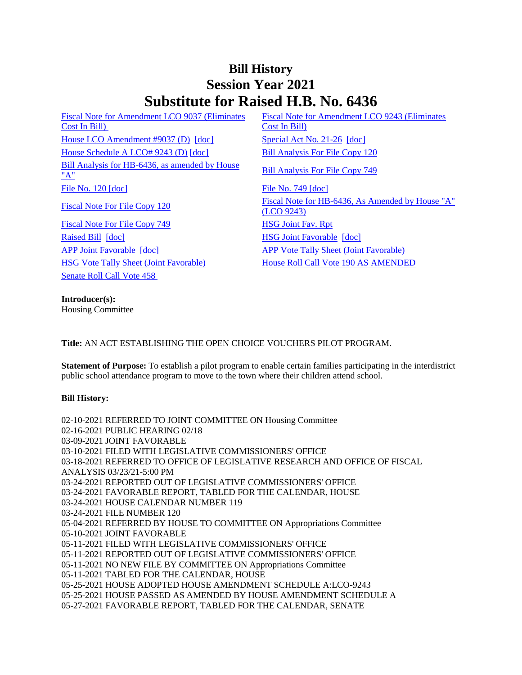## **Bill History Session Year 2021 Substitute for Raised H.B. No. 6436**

[Fiscal Note for Amendment LCO 9037 \(Eliminates](/2021/fna/pdf/2021HB-06436-R00LCO09037-FNA.PDF)  [Cost In Bill\)](/2021/fna/pdf/2021HB-06436-R00LCO09037-FNA.PDF)  [House LCO Amendment #9037 \(D\)](/2021/lcoamd/pdf/2021LCO09037-R00-AMD.pdf) [\[doc\]](https://search.cga.state.ct.us/dl2021/SA/DOC/2021SA-00026-R00HB-06436-SA.DOCX) [Special Act No. 21-26](/2021/ACT/SA/PDF/2021SA-00026-R00HB-06436-SA.PDF) [doc] [House Schedule A LCO# 9243 \(D\)](/2021/amd/H/pdf/2021HB-06436-R00HA-AMD.pdf) [\[doc\]](https://search.cga.state.ct.us/dl2021/AMd/DOC/2021HB-06436-R00HA-AMD.Docx) [Bill Analysis For File Copy 120](/2021/BA/PDF/2021HB-06436-R000120-BA.PDF) [Bill Analysis for HB-6436, as amended by House](/2021/BA/PDF/2021HB-06436-R01-BA.PDF)  <u>Bill Analysis for HB-0450, as amended by House</u><br>["A"](/2021/BA/PDF/2021HB-06436-R01-BA.PDF) [Bill Analysis For File Copy 749](/2021/BA/PDF/2021HB-06436-R010749-BA.PDF) [File No. 120](/2021/FC/PDF/2021HB-06436-R000120-FC.PDF) [\[doc\]](/2021/FC/PDF/2021HB-06436-R000749-FC.PDF) [File No. 749](/2021/FC/PDF/2021HB-06436-R000749-FC.PDF) [doc] [Fiscal Note For File Copy 749](/2021/FN/PDF/2021HB-06436-R010749-FN.PDF) [HSG Joint Fav. Rpt](/2021/JFR/H/PDF/2021HB-06436-R00HSG-JFR.PDF) [Raised Bill](/2021/TOB/H/PDF/2021HB-06436-R00-HB.PDF) [\[doc\]](https://search.cga.state.ct.us/dl2021/TOB/DOC/2021HB-06436-R01-HB.DOCX) **[HSG Joint Favorable](/2021/TOB/H/PDF/2021HB-06436-R01-HB.PDF) [doc]** [APP Joint Favorable](/2021/TOB/H/PDF/2021HB-06436-R02-HB.PDF) [\[doc\]](https://search.cga.state.ct.us/dl2021/TOB/DOC/2021HB-06436-R02-HB.DOCX) [APP Vote Tally Sheet \(Joint Favorable\)](/2021/TS/H/PDF/2021HB-06436-R00APP-CV95-TS.PDF) [HSG Vote Tally Sheet \(Joint Favorable\)](/2021/TS/H/PDF/2021HB-06436-R00HSG-CV62-TS.PDF) [House Roll Call Vote 190 AS AMENDED](/2021/VOTE/H/PDF/2021HV-00190-R00HB06436-HV.PDF)  [Senate Roll Call Vote 458](/2021/VOTE/S/PDF/2021SV-00458-R00HB06436-SV.PDF) 

[Fiscal Note for Amendment LCO 9243 \(Eliminates](/2021/fna/pdf/2021HB-06436-R00LCO09243-FNA.PDF)  [Cost In Bill\)](/2021/fna/pdf/2021HB-06436-R00LCO09243-FNA.PDF) 

[Fiscal Note For File Copy 120](/2021/FN/PDF/2021HB-06436-R000120-FN.PDF) Fiscal Note for HB-6436, As Amended by House "A" [\(LCO 9243\)](/2021/FN/PDF/2021HB-06436-R01-FN.PDF)

**Introducer(s):** Housing Committee

**Title:** AN ACT ESTABLISHING THE OPEN CHOICE VOUCHERS PILOT PROGRAM.

**Statement of Purpose:** To establish a pilot program to enable certain families participating in the interdistrict public school attendance program to move to the town where their children attend school.

## **Bill History:**

02-10-2021 REFERRED TO JOINT COMMITTEE ON Housing Committee 02-16-2021 PUBLIC HEARING 02/18 03-09-2021 JOINT FAVORABLE 03-10-2021 FILED WITH LEGISLATIVE COMMISSIONERS' OFFICE 03-18-2021 REFERRED TO OFFICE OF LEGISLATIVE RESEARCH AND OFFICE OF FISCAL ANALYSIS 03/23/21-5:00 PM 03-24-2021 REPORTED OUT OF LEGISLATIVE COMMISSIONERS' OFFICE 03-24-2021 FAVORABLE REPORT, TABLED FOR THE CALENDAR, HOUSE 03-24-2021 HOUSE CALENDAR NUMBER 119 03-24-2021 FILE NUMBER 120 05-04-2021 REFERRED BY HOUSE TO COMMITTEE ON Appropriations Committee 05-10-2021 JOINT FAVORABLE 05-11-2021 FILED WITH LEGISLATIVE COMMISSIONERS' OFFICE 05-11-2021 REPORTED OUT OF LEGISLATIVE COMMISSIONERS' OFFICE 05-11-2021 NO NEW FILE BY COMMITTEE ON Appropriations Committee 05-11-2021 TABLED FOR THE CALENDAR, HOUSE 05-25-2021 HOUSE ADOPTED HOUSE AMENDMENT SCHEDULE A:LCO-9243 05-25-2021 HOUSE PASSED AS AMENDED BY HOUSE AMENDMENT SCHEDULE A 05-27-2021 FAVORABLE REPORT, TABLED FOR THE CALENDAR, SENATE